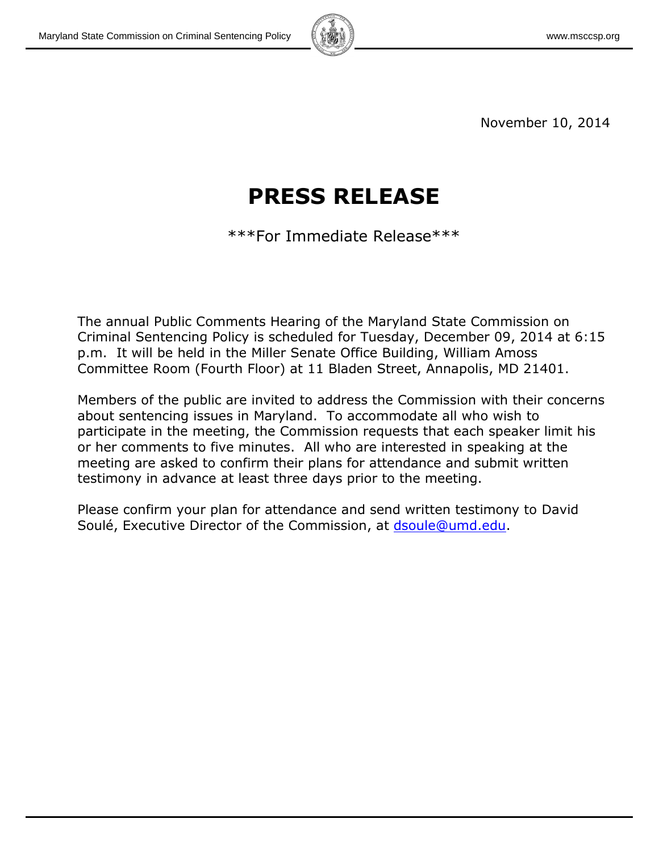

November 10, 2014

# **PRESS RELEASE**

\*\*\*For Immediate Release\*\*\*

The annual Public Comments Hearing of the Maryland State Commission on Criminal Sentencing Policy is scheduled for Tuesday, December 09, 2014 at 6:15 p.m. It will be held in the Miller Senate Office Building, William Amoss Committee Room (Fourth Floor) at 11 Bladen Street, Annapolis, MD 21401.

Members of the public are invited to address the Commission with their concerns about sentencing issues in Maryland. To accommodate all who wish to participate in the meeting, the Commission requests that each speaker limit his or her comments to five minutes. All who are interested in speaking at the meeting are asked to confirm their plans for attendance and submit written testimony in advance at least three days prior to the meeting.

Please confirm your plan for attendance and send written testimony to David Soulé, Executive Director of the Commission, at [dsoule@umd.edu.](mailto:dsoule@umd.edu)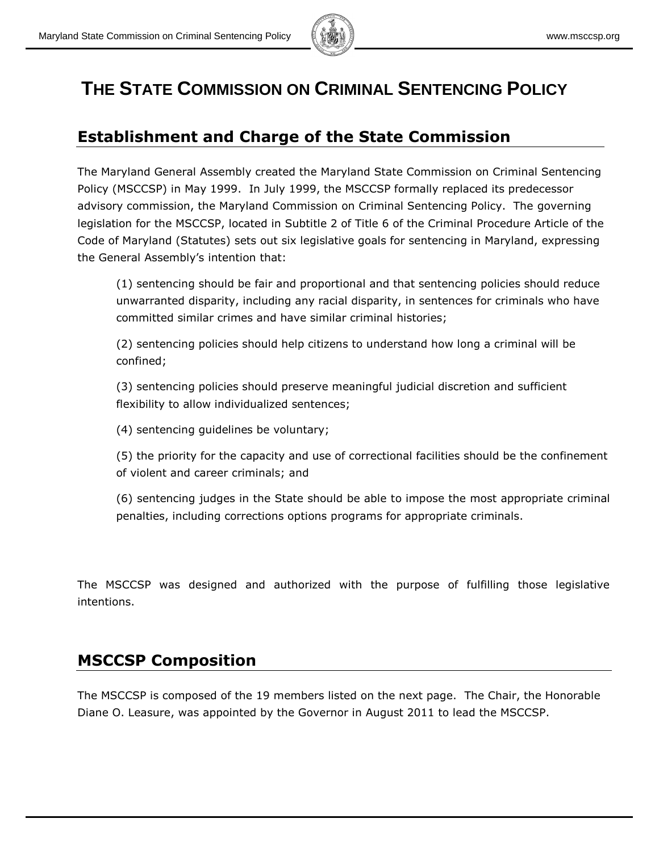

## **THE STATE COMMISSION ON CRIMINAL SENTENCING POLICY**

## **Establishment and Charge of the State Commission**

The Maryland General Assembly created the Maryland State Commission on Criminal Sentencing Policy (MSCCSP) in May 1999. In July 1999, the MSCCSP formally replaced its predecessor advisory commission, the Maryland Commission on Criminal Sentencing Policy. The governing legislation for the MSCCSP, located in Subtitle 2 of Title 6 of the Criminal Procedure Article of the Code of Maryland (Statutes) sets out six legislative goals for sentencing in Maryland, expressing the General Assembly's intention that:

(1) sentencing should be fair and proportional and that sentencing policies should reduce unwarranted disparity, including any racial disparity, in sentences for criminals who have committed similar crimes and have similar criminal histories;

(2) sentencing policies should help citizens to understand how long a criminal will be confined;

(3) sentencing policies should preserve meaningful judicial discretion and sufficient flexibility to allow individualized sentences;

(4) sentencing guidelines be voluntary;

(5) the priority for the capacity and use of correctional facilities should be the confinement of violent and career criminals; and

(6) sentencing judges in the State should be able to impose the most appropriate criminal penalties, including corrections options programs for appropriate criminals.

The MSCCSP was designed and authorized with the purpose of fulfilling those legislative intentions.

## **MSCCSP Composition**

The MSCCSP is composed of the 19 members listed on the next page. The Chair, the Honorable Diane O. Leasure, was appointed by the Governor in August 2011 to lead the MSCCSP.